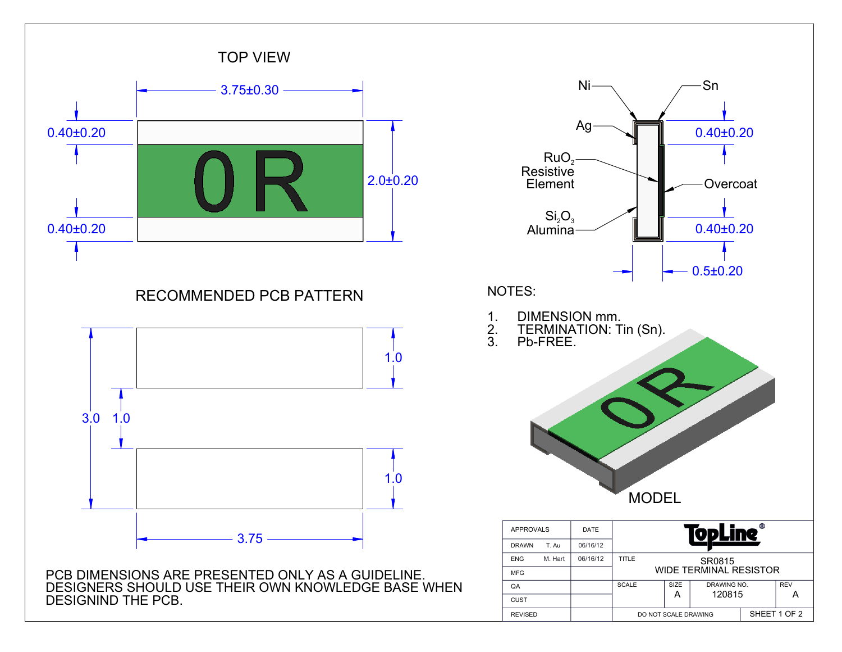